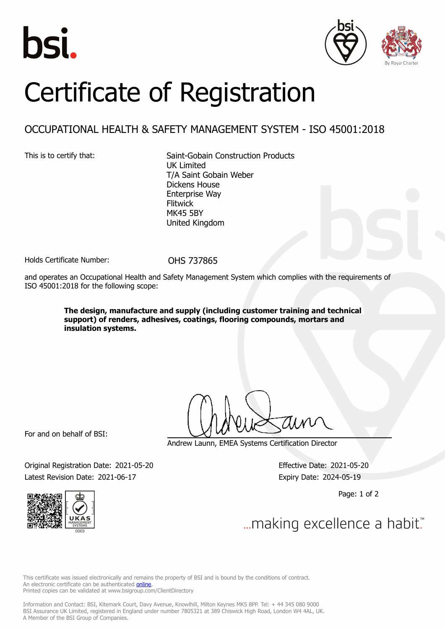





## Certificate of Registration

## OCCUPATIONAL HEALTH & SAFETY MANAGEMENT SYSTEM - ISO 45001:2018

This is to certify that: Saint-Gobain Construction Products UK Limited T/A Saint Gobain Weber Dickens House Enterprise Way Flitwick MK45 5BY United Kingdom

Holds Certificate Number: OHS 737865

and operates an Occupational Health and Safety Management System which complies with the requirements of ISO 45001:2018 for the following scope:

> **The design, manufacture and supply (including customer training and technical support) of renders, adhesives, coatings, flooring compounds, mortars and insulation systems.**

For and on behalf of BSI:

Andrew Launn, EMEA Systems Certification Director

Original Registration Date: 2021-05-20 Effective Date: 2021-05-20 Latest Revision Date: 2021-06-17 **Expiry Date: 2024-05-19** 

Page: 1 of 2



... making excellence a habit."

This certificate was issued electronically and remains the property of BSI and is bound by the conditions of contract. An electronic certificate can be authenticated **[online](https://pgplus.bsigroup.com/CertificateValidation/CertificateValidator.aspx?CertificateNumber=OHS+737865&ReIssueDate=17%2f06%2f2021&Template=uk)**. Printed copies can be validated at www.bsigroup.com/ClientDirectory

Information and Contact: BSI, Kitemark Court, Davy Avenue, Knowlhill, Milton Keynes MK5 8PP. Tel: + 44 345 080 9000 BSI Assurance UK Limited, registered in England under number 7805321 at 389 Chiswick High Road, London W4 4AL, UK. A Member of the BSI Group of Companies.